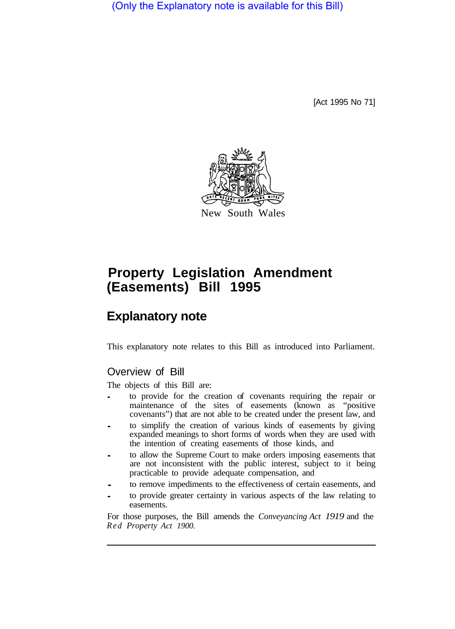(Only the Explanatory note is available for this Bill)

[Act 1995 No 71]



# **(Easements) Bill 1995 Property Legislation Amendment**

## **Explanatory note**

This explanatory note relates to this Bill as introduced into Parliament.

## Overview of Bill

The objects of this Bill are:

- to provide for the creation of covenants requiring the repair or maintenance of the sites of easements (known as "positive covenants") that are not able to be created under the present law, and
- to simplify the creation of various kinds of easements by giving expanded meanings to short forms of words when they are used with the intention of creating easements of those kinds, and
- to allow the Supreme Court to make orders imposing easements that are not inconsistent with the public interest, subject to it being practicable to provide adequate compensation, and
- to remove impediments to the effectiveness of certain easements, and
- to provide greater certainty in various aspects of the law relating to easements.

For those purposes, the Bill amends the *Conveyancing Act 1919* and the *Red Property Act 1900.*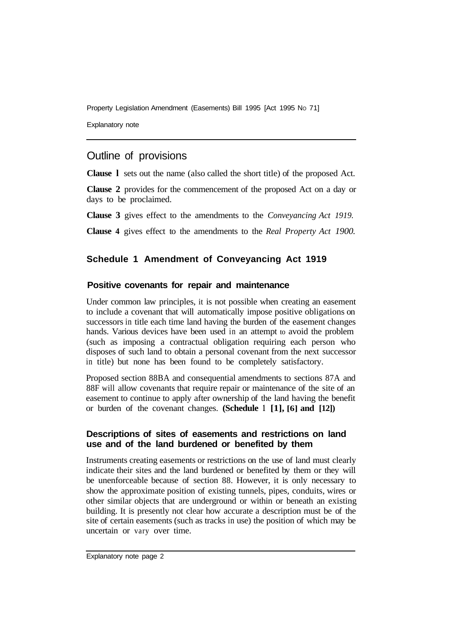Explanatory note

## Outline of provisions

**Clause l** sets out the name (also called the short title) of the proposed Act.

**Clause 2** provides for the commencement of the proposed Act on a day or days to be proclaimed.

**Clause 3** gives effect to the amendments to the *Conveyancing Act 1919.* 

**Clause 4** gives effect to the amendments to the *Real Property Act 1900.* 

## **Schedule 1 Amendment of Conveyancing Act 1919**

#### **Positive covenants for repair and maintenance**

Under common law principles, it is not possible when creating an easement to include a covenant that will automatically impose positive obligations on successors in title each time land having the burden of the easement changes hands. Various devices have been used in an attempt to avoid the problem (such as imposing a contractual obligation requiring each person who disposes of such land to obtain a personal covenant from the next successor in title) but none has been found to be completely satisfactory.

Proposed section 88BA and consequential amendments to sections 87A and 88F will allow covenants that require repair or maintenance of the site of an easement to continue to apply after ownership of the land having the benefit or burden of the covenant changes. **(Schedule 1 [1], [6] and [12])** 

#### **Descriptions of sites of easements and restrictions on land use and of the land burdened or benefited by them**

Instruments creating easements or restrictions on the use of land must clearly indicate their sites and the land burdened or benefited by them or they will be unenforceable because of section 88. However, it is only necessary to show the approximate position of existing tunnels, pipes, conduits, wires or other similar objects that are underground or within or beneath an existing building. It is presently not clear how accurate a description must be of the site of certain easements (such as tracks in use) the position of which may be uncertain or vary over time.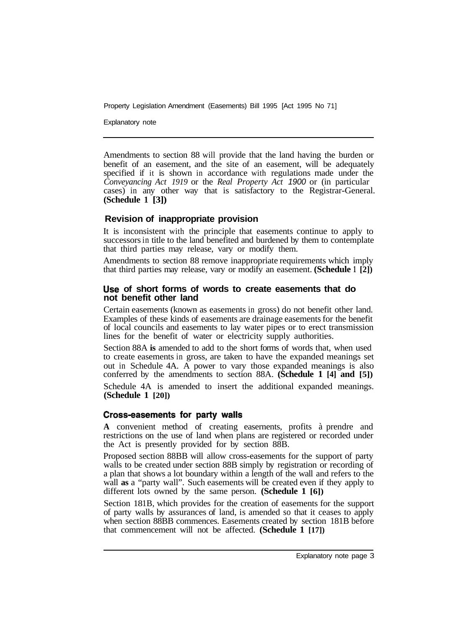Explanatory note

Amendments to section 88 will provide that the land having the burden or benefit of an easement, and the site of an easement, will be adequately specified if it is shown in accordance with regulations made under the *Conveyancing Act 1919* or the *Real Property Act 1900* or (in particular cases) in any other way that is satisfactory to the Registrar-General. **(Schedule 1 [3])** 

#### **Revision of inappropriate provision**

It is inconsistent with the principle that easements continue to apply to successors in title to the land benefited and burdened by them to contemplate that third parties may release, vary or modify them.

Amendments to section 88 remove inappropriate requirements which imply that third parties may release, vary or modify an easement. **(Schedule 1 [2])** 

#### **of short forms of words to create easements that do not benefit other land**

Certain easements (known as easements in gross) do not benefit other land. Examples of these kinds of easements are drainage easements for the benefit of local councils and easements to lay water pipes or to erect transmission lines for the benefit of water or electricity supply authorities.

Section 88A **is** amended to add to the short forms of words that, when used to create easements in gross, are taken to have the expanded meanings set out in Schedule 4A. A power to vary those expanded meanings is also conferred by the amendments to section 88A. **(Schedule 1 [4] and [5])** 

Schedule 4A is amended to insert the additional expanded meanings. **(Schedule 1 [20])** 

#### Cross-easements for party walls

**A** convenient method of creating easernents, profits à prendre and restrictions on the use of land when plans are registered or recorded under the Act is presently provided for by section 88B.

Proposed section 88BB will allow cross-easements for the support of party walls to be created under section 88B simply by registration or recording of a plan that shows a lot boundary within a length of the wall and refers to the wall **as** a "party wall". Such easements will be created even if they apply to different lots owned by the same person. **(Schedule 1 [6])**

Section 181B, which provides for the creation of easements for the support of party walls by assurances of land, is amended so that it ceases to apply when section 88BB commences. Easements created by section 181B before that commencement will not be affected. **(Schedule 1 [17])**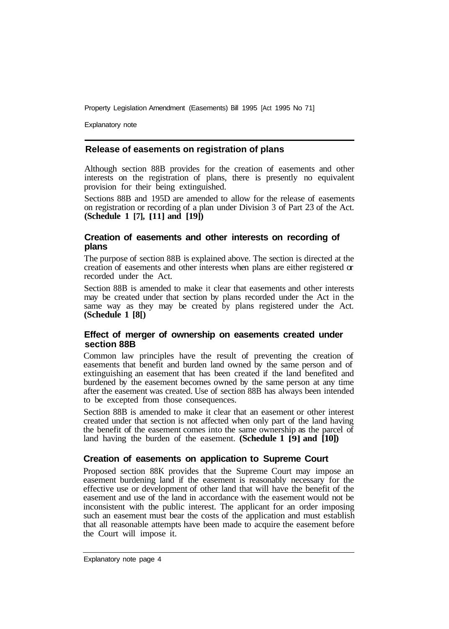Explanatory note

#### **Release of easements on registration of plans**

Although section 88B provides for the creation of easements and other interests on the registration of plans, there is presently no equivalent provision for their being extinguished.

Sections 88B and 195D are amended to allow for the release of easements on registration or recording of a plan under Division 3 of Part 23 of the Act. **(Schedule 1 [7], [ 11] and [19])**

#### **Creation of easements and other interests on recording of plans**

The purpose of section 88B is explained above. The section is directed at the creation of easements and other interests when plans are either registered or recorded under the Act.

Section 88B is amended to make it clear that easements and other interests may be created under that section by plans recorded under the Act in the same way as they may be created by plans registered under the Act. **(Schedule 1 [8[)**

#### **Effect of merger of ownership on easements created under section 88B**

Common law principles have the result of preventing the creation of easements that benefit and burden land owned by the same person and of extinguishing an easement that has been created if the land benefited and burdened by the easement becomes owned by the same person at any time after the easement was created. Use of section 88B has always been intended to be excepted from those consequences.

Section 88B is amended to make it clear that an easement or other interest created under that section is not affected when only part of the land having the benefit of the easement comes into the same ownership as the parcel of land having the burden of the easement. **(Schedule 1 [9] and [10]** 

#### **Creation of easements on application to Supreme Court**

Proposed section 88K provides that the Supreme Court may impose an easement burdening land if the easement is reasonably necessary for the effective use or development of other land that will have the benefit of the easement and use of the land in accordance with the easement would not be inconsistent with the public interest. The applicant for an order imposing such an easement must bear the costs of the application and must establish that all reasonable attempts have been made to acquire the easement before the Court will impose it.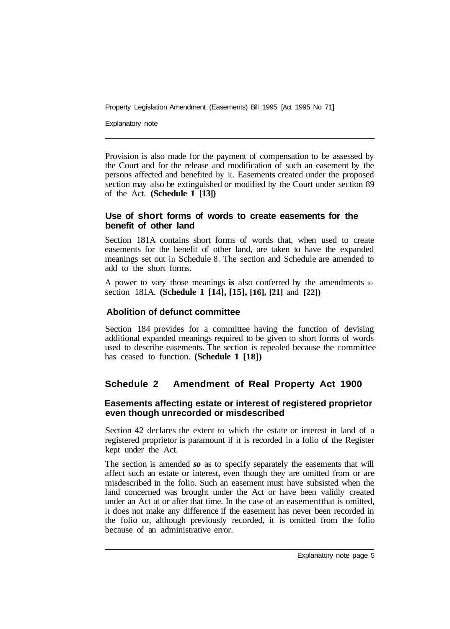Explanatory note

Provision is also made for the payment of compensation to be assessed by the Court and for the release and modification of such an easement by the persons affected and benefited by it. Easements created under the proposed section may also be extinguished or modified by the Court under section 89 of the Act. **(Schedule 1 [13])** 

#### **Use of short forms of words to create easements for the benefit of other land**

Section 181A contains short forms of words that, when used to create easements for the benefit of other land, are taken to have the expanded meanings set out in Schedule 8. The section and Schedule are amended to add to the short forms.

A power to vary those meanings **is** also conferred by the amendments to section 18 1A. **(Schedule 1 [14], [15], [16], [21]** and **[22])** 

## **Abolition of defunct committee**

Section 184 provides for a committee having the function of devising additional expanded meanings required to be given to short forms of words used to describe easements. The section is repealed because the committee has ceased to function. **(Schedule 1 [18])** 

## **Schedule 2 Amendment of Real Property Act 1900**

### **Easements affecting estate or interest of registered proprietor even though unrecorded or misdescribed**

Section 42 declares the extent to which the estate or interest in land of a registered proprietor is paramount if it is recorded in a folio of the Register kept under the Act.

The section is amended *so* as to specify separately the easements that will affect such an estate or interest, even though they are omitted from or are misdescribed in the folio. Such an easement must have subsisted when the land concerned was brought under the Act or have been validly created under an Act at or after that time. In the case of an easement that is omitted. it does not make any difference if the easement has never been recorded in the folio or, although previously recorded, it is omitted from the folio because of an administrative error.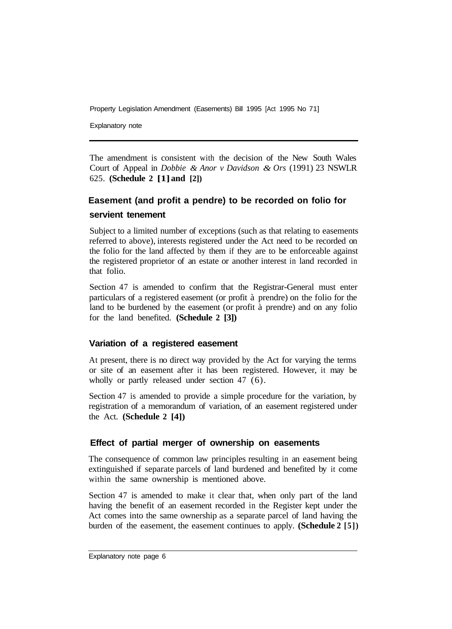Explanatory note

The amendment is consistent with the decision of the New South Wales Court of Appeal in *Dobbie & Anor v Davidson & Ors* (1991) 23 NSWLR 625. **(Schedule 2 [1] and [2])**

## **servient tenement Easement (and profit a pendre) to be recorded on folio for**

Subject to a limited number of exceptions (such as that relating to easements referred to above), interests registered under the Act need to be recorded on the folio for the land affected by them if they are to be enforceable against the registered proprietor of an estate or another interest in land recorded in that folio.

Section 47 is amended to confirm that the Registrar-General must enter particulars of a registered easement (or profit à prendre) on the folio for the land to be burdened by the easement (or profit à prendre) and on any folio for the land benefited. **(Schedule 2 [3])** 

## **Variation of a registered easement**

At present, there is no direct way provided by the Act for varying the terms or site of an easement after it has been registered. However, it may be wholly or partly released under section 47 (6).

Section 47 is amended to provide a simple procedure for the variation, by registration of a memorandum of variation, of an easement registered under the Act. **(Schedule 2 [4])** 

## **Effect of partial merger of ownership on easements**

The consequence of common law principles resulting in an easement being extinguished if separate parcels of land burdened and benefited by it come within the same ownership is mentioned above.

Section 47 is amended to make it clear that, when only part of the land having the benefit of an easement recorded in the Register kept under the Act comes into the same ownership as a separate parcel of land having the burden of the easement, the easement continues to apply. **(Schedule 2 [5])**